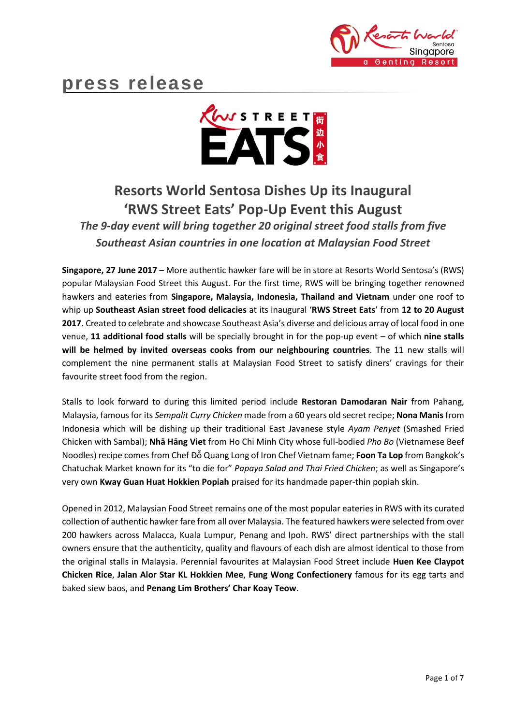

# **press release**



## **Resorts World Sentosa Dishes Up its Inaugural 'RWS Street Eats' Pop-Up Event this August**

*The 9-day event will bring together 20 original street food stalls from five Southeast Asian countries in one location at Malaysian Food Street*

**Singapore, 27 June 2017** – More authentic hawker fare will be in store at Resorts World Sentosa's (RWS) popular Malaysian Food Street this August. For the first time, RWS will be bringing together renowned hawkers and eateries from **Singapore, Malaysia, Indonesia, Thailand and Vietnam** under one roof to whip up **Southeast Asian street food delicacies** at its inaugural '**RWS Street Eats**' from **12 to 20 August 2017**. Created to celebrate and showcase Southeast Asia's diverse and delicious array of local food in one venue, **11 additional food stalls** will be specially brought in for the pop-up event – of which **nine stalls will be helmed by invited overseas cooks from our neighbouring countries**. The 11 new stalls will complement the nine permanent stalls at Malaysian Food Street to satisfy diners' cravings for their favourite street food from the region.

Stalls to look forward to during this limited period include **Restoran Damodaran Nair** from Pahang, Malaysia, famous for its *Sempalit Curry Chicken* made from a 60 years old secret recipe; **Nona Manis** from Indonesia which will be dishing up their traditional East Javanese style *Ayam Penyet* (Smashed Fried Chicken with Sambal); **Nhā Hāng Viet** from Ho Chi Minh City whose full-bodied *Pho Bo* (Vietnamese Beef Noodles) recipe comes from Chef Đỗ Quang Long of Iron Chef Vietnam fame; **Foon Ta Lop** from Bangkok's Chatuchak Market known for its "to die for" *Papaya Salad and Thai Fried Chicken*; as well as Singapore's very own **Kway Guan Huat Hokkien Popiah** praised for its handmade paper-thin popiah skin.

Opened in 2012, Malaysian Food Street remains one of the most popular eateries in RWS with its curated collection of authentic hawker fare from all over Malaysia. The featured hawkers were selected from over 200 hawkers across Malacca, Kuala Lumpur, Penang and Ipoh. RWS' direct partnerships with the stall owners ensure that the authenticity, quality and flavours of each dish are almost identical to those from the original stalls in Malaysia. Perennial favourites at Malaysian Food Street include **Huen Kee Claypot Chicken Rice**, **Jalan Alor Star KL Hokkien Mee**, **Fung Wong Confectionery** famous for its egg tarts and baked siew baos, and **Penang Lim Brothers' Char Koay Teow**.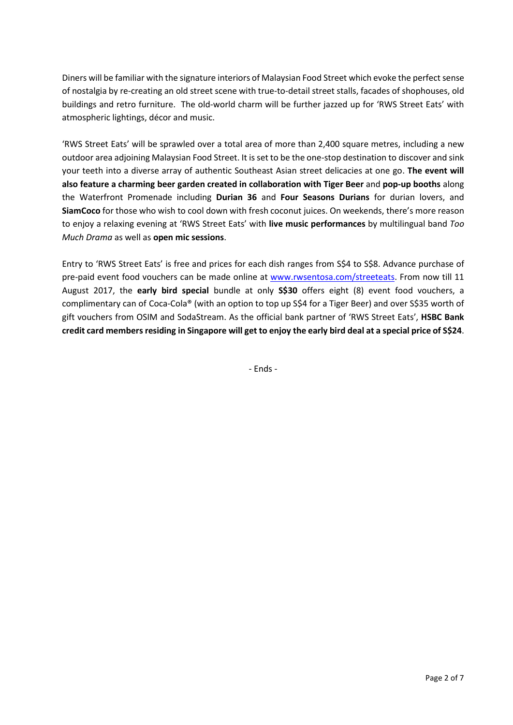Diners will be familiar with the signature interiors of Malaysian Food Street which evoke the perfect sense of nostalgia by re-creating an old street scene with true-to-detail street stalls, facades of shophouses, old buildings and retro furniture. The old-world charm will be further jazzed up for 'RWS Street Eats' with atmospheric lightings, décor and music.

'RWS Street Eats' will be sprawled over a total area of more than 2,400 square metres, including a new outdoor area adjoining Malaysian Food Street. It is set to be the one-stop destination to discover and sink your teeth into a diverse array of authentic Southeast Asian street delicacies at one go. **The event will also feature a charming beer garden created in collaboration with Tiger Beer** and **pop-up booths** along the Waterfront Promenade including **Durian 36** and **Four Seasons Durians** for durian lovers, and **SiamCoco** for those who wish to cool down with fresh coconut juices. On weekends, there's more reason to enjoy a relaxing evening at 'RWS Street Eats' with **live music performances** by multilingual band *Too Much Drama* as well as **open mic sessions**.

Entry to 'RWS Street Eats' is free and prices for each dish ranges from S\$4 to S\$8. Advance purchase of pre-paid event food vouchers can be made online at [www.rwsentosa.com/streeteats.](http://www.rwsentosa.com/streeteats) From now till 11 August 2017, the **early bird special** bundle at only **S\$30** offers eight (8) event food vouchers, a complimentary can of Coca-Cola® (with an option to top up S\$4 for a Tiger Beer) and over S\$35 worth of gift vouchers from OSIM and SodaStream. As the official bank partner of 'RWS Street Eats', **HSBC Bank credit card members residing in Singapore will get to enjoy the early bird deal at a special price of S\$24**.

- Ends -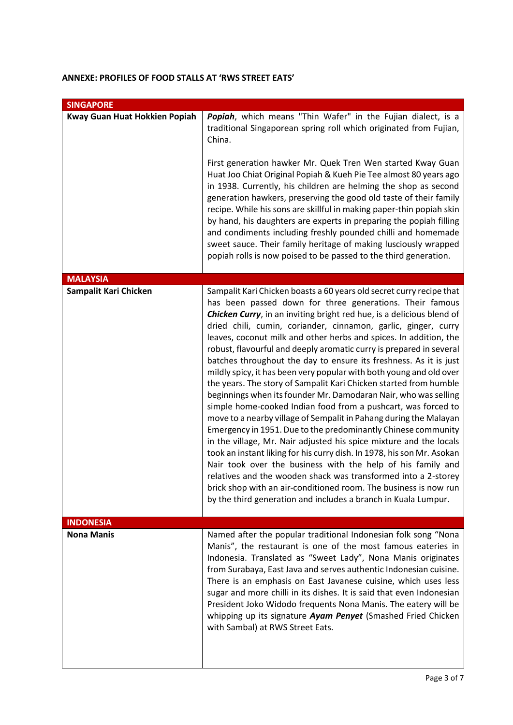### **ANNEXE: PROFILES OF FOOD STALLS AT 'RWS STREET EATS'**

| <b>SINGAPORE</b>              |                                                                                                                                                                                                                                                                                                                                                                                                                                                                                                                                                                                                                                                                                                                                                                                                                                                                                                                                                                                                                                                                                                                                                                                                                                                                                                                                                   |  |
|-------------------------------|---------------------------------------------------------------------------------------------------------------------------------------------------------------------------------------------------------------------------------------------------------------------------------------------------------------------------------------------------------------------------------------------------------------------------------------------------------------------------------------------------------------------------------------------------------------------------------------------------------------------------------------------------------------------------------------------------------------------------------------------------------------------------------------------------------------------------------------------------------------------------------------------------------------------------------------------------------------------------------------------------------------------------------------------------------------------------------------------------------------------------------------------------------------------------------------------------------------------------------------------------------------------------------------------------------------------------------------------------|--|
| Kway Guan Huat Hokkien Popiah | Popiah, which means "Thin Wafer" in the Fujian dialect, is a<br>traditional Singaporean spring roll which originated from Fujian,<br>China.<br>First generation hawker Mr. Quek Tren Wen started Kway Guan<br>Huat Joo Chiat Original Popiah & Kueh Pie Tee almost 80 years ago<br>in 1938. Currently, his children are helming the shop as second<br>generation hawkers, preserving the good old taste of their family<br>recipe. While his sons are skillful in making paper-thin popiah skin<br>by hand, his daughters are experts in preparing the popiah filling<br>and condiments including freshly pounded chilli and homemade<br>sweet sauce. Their family heritage of making lusciously wrapped<br>popiah rolls is now poised to be passed to the third generation.                                                                                                                                                                                                                                                                                                                                                                                                                                                                                                                                                                      |  |
| <b>MALAYSIA</b>               |                                                                                                                                                                                                                                                                                                                                                                                                                                                                                                                                                                                                                                                                                                                                                                                                                                                                                                                                                                                                                                                                                                                                                                                                                                                                                                                                                   |  |
| Sampalit Kari Chicken         | Sampalit Kari Chicken boasts a 60 years old secret curry recipe that<br>has been passed down for three generations. Their famous<br><b>Chicken Curry</b> , in an inviting bright red hue, is a delicious blend of<br>dried chili, cumin, coriander, cinnamon, garlic, ginger, curry<br>leaves, coconut milk and other herbs and spices. In addition, the<br>robust, flavourful and deeply aromatic curry is prepared in several<br>batches throughout the day to ensure its freshness. As it is just<br>mildly spicy, it has been very popular with both young and old over<br>the years. The story of Sampalit Kari Chicken started from humble<br>beginnings when its founder Mr. Damodaran Nair, who was selling<br>simple home-cooked Indian food from a pushcart, was forced to<br>move to a nearby village of Sempalit in Pahang during the Malayan<br>Emergency in 1951. Due to the predominantly Chinese community<br>in the village, Mr. Nair adjusted his spice mixture and the locals<br>took an instant liking for his curry dish. In 1978, his son Mr. Asokan<br>Nair took over the business with the help of his family and<br>relatives and the wooden shack was transformed into a 2-storey<br>brick shop with an air-conditioned room. The business is now run<br>by the third generation and includes a branch in Kuala Lumpur. |  |
| <b>INDONESIA</b>              |                                                                                                                                                                                                                                                                                                                                                                                                                                                                                                                                                                                                                                                                                                                                                                                                                                                                                                                                                                                                                                                                                                                                                                                                                                                                                                                                                   |  |
| <b>Nona Manis</b>             | Named after the popular traditional Indonesian folk song "Nona<br>Manis", the restaurant is one of the most famous eateries in<br>Indonesia. Translated as "Sweet Lady", Nona Manis originates<br>from Surabaya, East Java and serves authentic Indonesian cuisine.<br>There is an emphasis on East Javanese cuisine, which uses less<br>sugar and more chilli in its dishes. It is said that even Indonesian<br>President Joko Widodo frequents Nona Manis. The eatery will be<br>whipping up its signature Ayam Penyet (Smashed Fried Chicken<br>with Sambal) at RWS Street Eats.                                                                                                                                                                                                                                                                                                                                                                                                                                                                                                                                                                                                                                                                                                                                                               |  |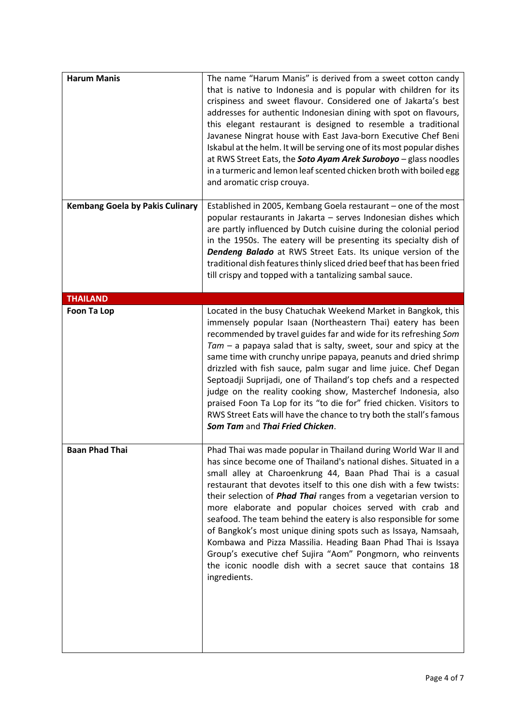| <b>Harum Manis</b>                     | The name "Harum Manis" is derived from a sweet cotton candy<br>that is native to Indonesia and is popular with children for its<br>crispiness and sweet flavour. Considered one of Jakarta's best<br>addresses for authentic Indonesian dining with spot on flavours,<br>this elegant restaurant is designed to resemble a traditional<br>Javanese Ningrat house with East Java-born Executive Chef Beni<br>Iskabul at the helm. It will be serving one of its most popular dishes<br>at RWS Street Eats, the Soto Ayam Arek Suroboyo - glass noodles<br>in a turmeric and lemon leaf scented chicken broth with boiled egg<br>and aromatic crisp crouya.                                                                                                         |
|----------------------------------------|-------------------------------------------------------------------------------------------------------------------------------------------------------------------------------------------------------------------------------------------------------------------------------------------------------------------------------------------------------------------------------------------------------------------------------------------------------------------------------------------------------------------------------------------------------------------------------------------------------------------------------------------------------------------------------------------------------------------------------------------------------------------|
| <b>Kembang Goela by Pakis Culinary</b> | Established in 2005, Kembang Goela restaurant - one of the most<br>popular restaurants in Jakarta - serves Indonesian dishes which<br>are partly influenced by Dutch cuisine during the colonial period<br>in the 1950s. The eatery will be presenting its specialty dish of<br><b>Dendeng Balado</b> at RWS Street Eats. Its unique version of the<br>traditional dish features thinly sliced dried beef that has been fried<br>till crispy and topped with a tantalizing sambal sauce.                                                                                                                                                                                                                                                                          |
| <b>THAILAND</b>                        |                                                                                                                                                                                                                                                                                                                                                                                                                                                                                                                                                                                                                                                                                                                                                                   |
| Foon Ta Lop                            | Located in the busy Chatuchak Weekend Market in Bangkok, this<br>immensely popular Isaan (Northeastern Thai) eatery has been<br>recommended by travel guides far and wide for its refreshing Som<br>$Tam - a$ papaya salad that is salty, sweet, sour and spicy at the<br>same time with crunchy unripe papaya, peanuts and dried shrimp<br>drizzled with fish sauce, palm sugar and lime juice. Chef Degan<br>Septoadji Suprijadi, one of Thailand's top chefs and a respected<br>judge on the reality cooking show, Masterchef Indonesia, also<br>praised Foon Ta Lop for its "to die for" fried chicken. Visitors to<br>RWS Street Eats will have the chance to try both the stall's famous<br>Som Tam and Thai Fried Chicken.                                 |
| <b>Baan Phad Thai</b>                  | Phad Thai was made popular in Thailand during World War II and<br>has since become one of Thailand's national dishes. Situated in a<br>small alley at Charoenkrung 44, Baan Phad Thai is a casual<br>restaurant that devotes itself to this one dish with a few twists:<br>their selection of <i>Phad Thai</i> ranges from a vegetarian version to<br>more elaborate and popular choices served with crab and<br>seafood. The team behind the eatery is also responsible for some<br>of Bangkok's most unique dining spots such as Issaya, Namsaah,<br>Kombawa and Pizza Massilia. Heading Baan Phad Thai is Issaya<br>Group's executive chef Sujira "Aom" Pongmorn, who reinvents<br>the iconic noodle dish with a secret sauce that contains 18<br>ingredients. |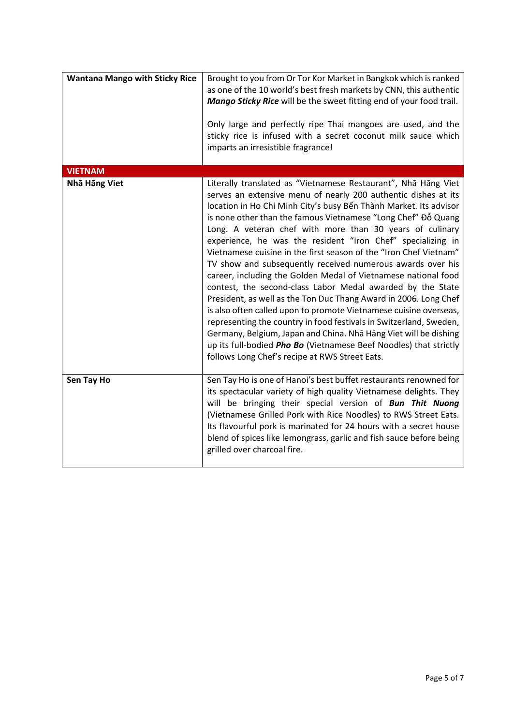| <b>Wantana Mango with Sticky Rice</b> | Brought to you from Or Tor Kor Market in Bangkok which is ranked<br>as one of the 10 world's best fresh markets by CNN, this authentic<br>Mango Sticky Rice will be the sweet fitting end of your food trail.<br>Only large and perfectly ripe Thai mangoes are used, and the<br>sticky rice is infused with a secret coconut milk sauce which<br>imparts an irresistible fragrance!                                                                                                                                                                                                                                                                                                                                                                                                                                                                                                                                                                                                                                                                                           |
|---------------------------------------|--------------------------------------------------------------------------------------------------------------------------------------------------------------------------------------------------------------------------------------------------------------------------------------------------------------------------------------------------------------------------------------------------------------------------------------------------------------------------------------------------------------------------------------------------------------------------------------------------------------------------------------------------------------------------------------------------------------------------------------------------------------------------------------------------------------------------------------------------------------------------------------------------------------------------------------------------------------------------------------------------------------------------------------------------------------------------------|
| <b>VIETNAM</b>                        |                                                                                                                                                                                                                                                                                                                                                                                                                                                                                                                                                                                                                                                                                                                                                                                                                                                                                                                                                                                                                                                                                |
| Nhā Hāng Viet                         | Literally translated as "Vietnamese Restaurant", Nha Hang Viet<br>serves an extensive menu of nearly 200 authentic dishes at its<br>location in Ho Chi Minh City's busy Bến Thành Market. Its advisor<br>is none other than the famous Vietnamese "Long Chef" Đỗ Quang<br>Long. A veteran chef with more than 30 years of culinary<br>experience, he was the resident "Iron Chef" specializing in<br>Vietnamese cuisine in the first season of the "Iron Chef Vietnam"<br>TV show and subsequently received numerous awards over his<br>career, including the Golden Medal of Vietnamese national food<br>contest, the second-class Labor Medal awarded by the State<br>President, as well as the Ton Duc Thang Award in 2006. Long Chef<br>is also often called upon to promote Vietnamese cuisine overseas,<br>representing the country in food festivals in Switzerland, Sweden,<br>Germany, Belgium, Japan and China. Nha Hang Viet will be dishing<br>up its full-bodied Pho Bo (Vietnamese Beef Noodles) that strictly<br>follows Long Chef's recipe at RWS Street Eats. |
| Sen Tay Ho                            | Sen Tay Ho is one of Hanoi's best buffet restaurants renowned for<br>its spectacular variety of high quality Vietnamese delights. They<br>will be bringing their special version of Bun Thit Nuong<br>(Vietnamese Grilled Pork with Rice Noodles) to RWS Street Eats.<br>Its flavourful pork is marinated for 24 hours with a secret house<br>blend of spices like lemongrass, garlic and fish sauce before being<br>grilled over charcoal fire.                                                                                                                                                                                                                                                                                                                                                                                                                                                                                                                                                                                                                               |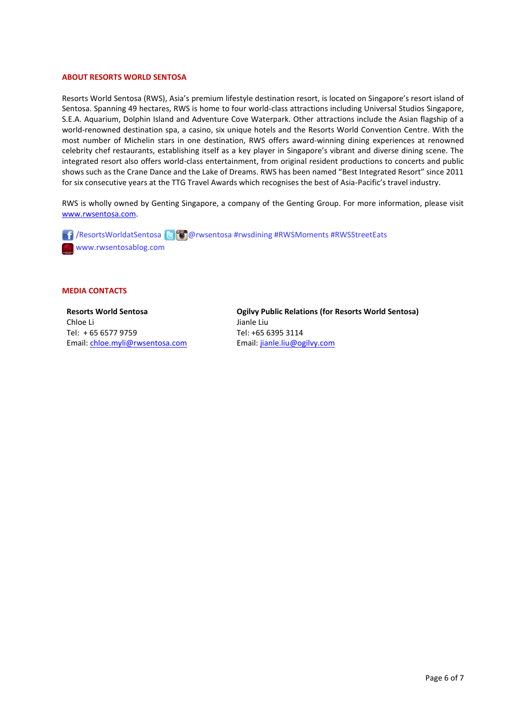#### **ABOUT RESORTS WORLD SENTOSA**

Resorts World Sentosa (RWS), Asia's premium lifestyle destination resort, is located on Singapore's resort island of Sentosa. Spanning 49 hectares, RWS is home to four world-class attractions including Universal Studios Singapore, S.E.A. Aquarium, Dolphin Island and Adventure Cove Waterpark. Other attractions include the Asian flagship of a world-renowned destination spa, a casino, six unique hotels and the Resorts World Convention Centre. With the most number of Michelin stars in one destination, RWS offers award-winning dining experiences at renowned celebrity chef restaurants, establishing itself as a key player in Singapore's vibrant and diverse dining scene. The integrated resort also offers world-class entertainment, from original resident productions to concerts and public shows such as the Crane Dance and the Lake of Dreams. RWS has been named "Best Integrated Resort" since 2011 for six consecutive years at the TTG Travel Awards which recognises the best of Asia-Pacific's travel industry.

RWS is wholly owned by Genting Singapore, a company of the Genting Group. For more information, please visit [www.rwsentosa.com.](http://www.rwsentosa.com/)

**1** / ResortsWorldatSentosa **@** @ @ rwsentosa #rwsdining #RWSMoments #RWSStreetEats www.rwsentosablog.com

#### **MEDIA CONTACTS**

**Resorts World Sentosa** Chloe Li Tel: + 65 6577 9759 Email[: chloe.myli@rwsentosa.com](mailto:chloe.myli@rwsentosa.com) **Ogilvy Public Relations (for Resorts World Sentosa)** Jianle Liu Tel: +65 6395 3114 Email: [jianle.liu@ogilvy.com](mailto:jianle.liu@ogilvy.com)